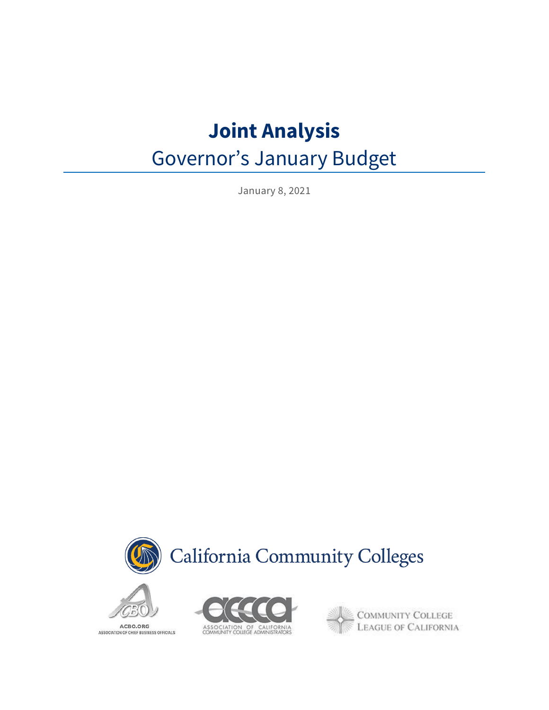# **Joint Analysis**

# Governor's January Budget

January 8, 2021





ACBO.ORG ASSOCIATION OF CHIEF BUSINESS OFFICIALS



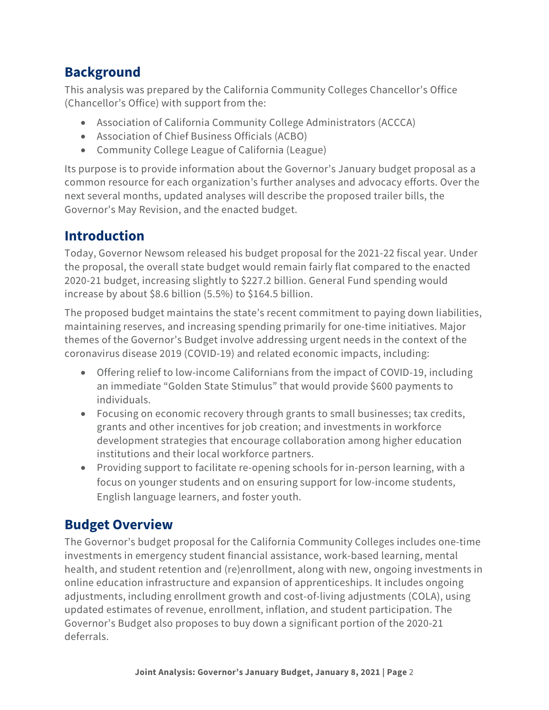# **Background**

This analysis was prepared by the California Community Colleges Chancellor's Office (Chancellor's Office) with support from the:

- Association of California Community College Administrators (ACCCA)
- Association of Chief Business Officials (ACBO)
- Community College League of California (League)

Its purpose is to provide information about the Governor's January budget proposal as a common resource for each organization's further analyses and advocacy efforts. Over the next several months, updated analyses will describe the proposed trailer bills, the Governor's May Revision, and the enacted budget.

# **Introduction**

Today, Governor Newsom released his budget proposal for the 2021-22 fiscal year. Under the proposal, the overall state budget would remain fairly flat compared to the enacted 2020-21 budget, increasing slightly to \$227.2 billion. General Fund spending would increase by about \$8.6 billion (5.5%) to \$164.5 billion.

The proposed budget maintains the state's recent commitment to paying down liabilities, maintaining reserves, and increasing spending primarily for one-time initiatives. Major themes of the Governor's Budget involve addressing urgent needs in the context of the coronavirus disease 2019 (COVID-19) and related economic impacts, including:

- Offering relief to low-income Californians from the impact of COVID-19, including an immediate "Golden State Stimulus" that would provide \$600 payments to individuals.
- Focusing on economic recovery through grants to small businesses; tax credits, grants and other incentives for job creation; and investments in workforce development strategies that encourage collaboration among higher education institutions and their local workforce partners.
- Providing support to facilitate re-opening schools for in-person learning, with a focus on younger students and on ensuring support for low-income students, English language learners, and foster youth.

# **Budget Overview**

The Governor's budget proposal for the California Community Colleges includes one-time investments in emergency student financial assistance, work-based learning, mental health, and student retention and (re)enrollment, along with new, ongoing investments in online education infrastructure and expansion of apprenticeships. It includes ongoing adjustments, including enrollment growth and cost-of-living adjustments (COLA), using updated estimates of revenue, enrollment, inflation, and student participation. The Governor's Budget also proposes to buy down a significant portion of the 2020-21 deferrals.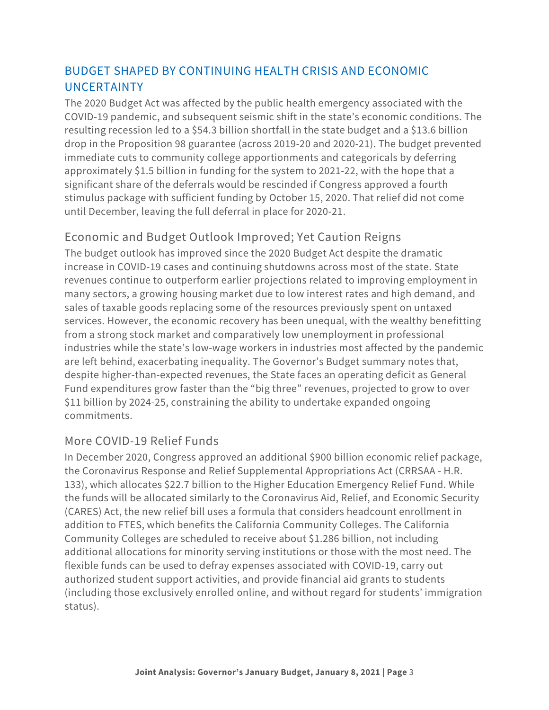#### BUDGET SHAPED BY CONTINUING HEALTH CRISIS AND ECONOMIC UNCERTAINTY

The 2020 Budget Act was affected by the public health emergency associated with the COVID-19 pandemic, and subsequent seismic shift in the state's economic conditions. The resulting recession led to a \$54.3 billion shortfall in the state budget and a \$13.6 billion drop in the Proposition 98 guarantee (across 2019-20 and 2020-21). The budget prevented immediate cuts to community college apportionments and categoricals by deferring approximately \$1.5 billion in funding for the system to 2021-22, with the hope that a significant share of the deferrals would be rescinded if Congress approved a fourth stimulus package with sufficient funding by October 15, 2020. That relief did not come until December, leaving the full deferral in place for 2020-21.

#### Economic and Budget Outlook Improved; Yet Caution Reigns

The budget outlook has improved since the 2020 Budget Act despite the dramatic increase in COVID-19 cases and continuing shutdowns across most of the state. State revenues continue to outperform earlier projections related to improving employment in many sectors, a growing housing market due to low interest rates and high demand, and sales of taxable goods replacing some of the resources previously spent on untaxed services. However, the economic recovery has been unequal, with the wealthy benefitting from a strong stock market and comparatively low unemployment in professional industries while the state's low-wage workers in industries most affected by the pandemic are left behind, exacerbating inequality. The Governor's Budget summary notes that, despite higher-than-expected revenues, the State faces an operating deficit as General Fund expenditures grow faster than the "big three" revenues, projected to grow to over \$11 billion by 2024-25, constraining the ability to undertake expanded ongoing commitments.

#### More COVID-19 Relief Funds

In December 2020, Congress approved an additional \$900 billion economic relief package, the Coronavirus Response and Relief Supplemental Appropriations Act (CRRSAA - H.R. 133), which allocates \$22.7 billion to the Higher Education Emergency Relief Fund. While the funds will be allocated similarly to the Coronavirus Aid, Relief, and Economic Security (CARES) Act, the new relief bill uses a formula that considers headcount enrollment in addition to FTES, which benefits the California Community Colleges. The California Community Colleges are scheduled to receive about \$1.286 billion, not including additional allocations for minority serving institutions or those with the most need. The flexible funds can be used to defray expenses associated with COVID-19, carry out authorized student support activities, and provide financial aid grants to students (including those exclusively enrolled online, and without regard for students' immigration status).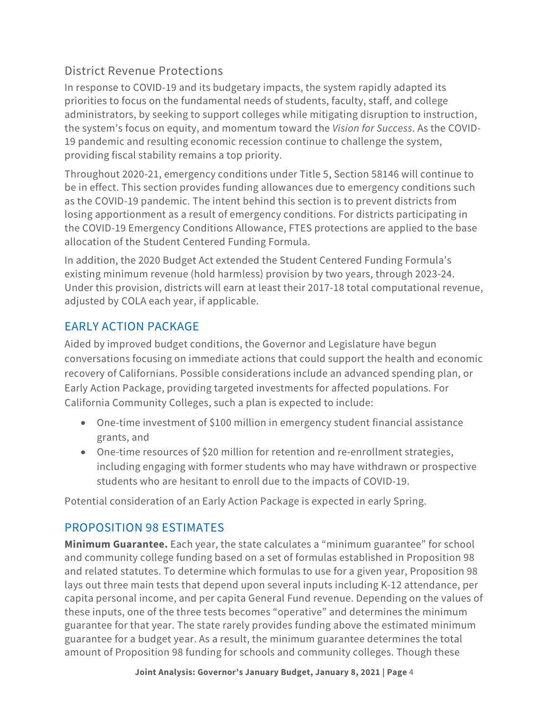#### District Revenue Protections

In response to COVID-19 and its budgetary impacts, the system rapidly adapted its priorities to focus on the fundamental needs of students, faculty, staff, and college administrators, by seeking to support colleges while mitigating disruption to instruction, the system's focus on equity, and momentum toward the *Vision for Success*. As the COVID-19 pandemic and resulting economic recession continue to challenge the system, providing fiscal stability remains a top priority.

Throughout 2020-21, emergency conditions under Title 5, Section 58146 will continue to be in effect. This section provides funding allowances due to emergency conditions such as the COVID-19 pandemic. The intent behind this section is to prevent districts from losing apportionment as a result of emergency conditions. For districts participating in the COVID-19 Emergency Conditions Allowance, FTES protections are applied to the base allocation of the Student Centered Funding Formula.

In addition, the 2020 Budget Act extended the Student Centered Funding Formula's existing minimum revenue (hold harmless) provision by two years, through 2023-24. Under this provision, districts will earn at least their 2017-18 total computational revenue, adjusted by COLA each year, if applicable.

## EARLY ACTION PACKAGE

Aided by improved budget conditions, the Governor and Legislature have begun conversations focusing on immediate actions that could support the health and economic recovery of Californians. Possible considerations include an advanced spending plan, or Early Action Package, providing targeted investments for affected populations. For California Community Colleges, such a plan is expected to include:

- One-time investment of \$100 million in emergency student financial assistance grants, and
- One-time resources of \$20 million for retention and re-enrollment strategies, including engaging with former students who may have withdrawn or prospective students who are hesitant to enroll due to the impacts of COVID-19.

Potential consideration of an Early Action Package is expected in early Spring.

#### PROPOSITION 98 ESTIMATES

**Minimum Guarantee.** Each year, the state calculates a "minimum guarantee" for school and community college funding based on a set of formulas established in Proposition 98 and related statutes. To determine which formulas to use for a given year, Proposition 98 lays out three main tests that depend upon several inputs including K-12 attendance, per capita personal income, and per capita General Fund revenue. Depending on the values of these inputs, one of the three tests becomes "operative" and determines the minimum guarantee for that year. The state rarely provides funding above the estimated minimum guarantee for a budget year. As a result, the minimum guarantee determines the total amount of Proposition 98 funding for schools and community colleges. Though these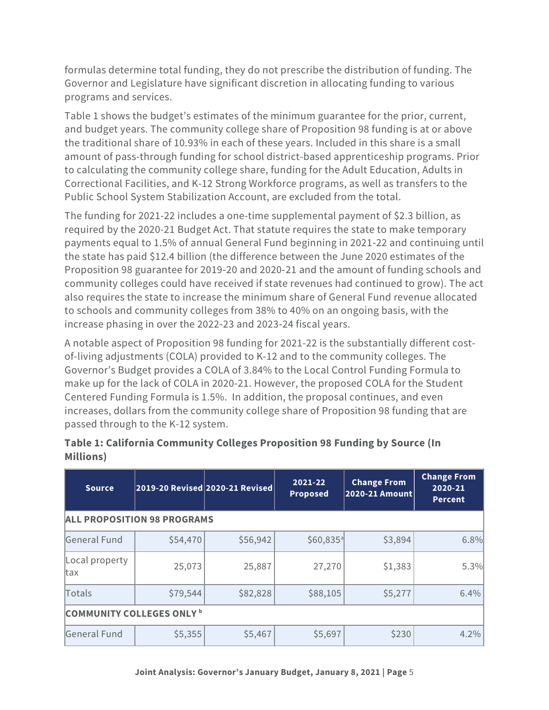formulas determine total funding, they do not prescribe the distribution of funding. The Governor and Legislature have significant discretion in allocating funding to various programs and services.

Table 1 shows the budget's estimates of the minimum guarantee for the prior, current, and budget years. The community college share of Proposition 98 funding is at or above the traditional share of 10.93% in each of these years. Included in this share is a small amount of pass-through funding for school district-based apprenticeship programs. Prior to calculating the community college share, funding for the Adult Education, Adults in Correctional Facilities, and K-12 Strong Workforce programs, as well as transfers to the Public School System Stabilization Account, are excluded from the total.

The funding for 2021-22 includes a one-time supplemental payment of \$2.3 billion, as required by the 2020-21 Budget Act. That statute requires the state to make temporary payments equal to 1.5% of annual General Fund beginning in 2021‑22 and continuing until the state has paid \$12.4 billion (the difference between the June 2020 estimates of the Proposition 98 guarantee for 2019‑20 and 2020‑21 and the amount of funding schools and community colleges could have received if state revenues had continued to grow). The act also requires the state to increase the minimum share of General Fund revenue allocated to schools and community colleges from 38% to 40% on an ongoing basis, with the increase phasing in over the 2022‑23 and 2023‑24 fiscal years.

A notable aspect of Proposition 98 funding for 2021-22 is the substantially different costof-living adjustments (COLA) provided to K-12 and to the community colleges. The Governor's Budget provides a COLA of 3.84% to the Local Control Funding Formula to make up for the lack of COLA in 2020-21. However, the proposed COLA for the Student Centered Funding Formula is 1.5%. In addition, the proposal continues, and even increases, dollars from the community college share of Proposition 98 funding that are passed through to the K-12 system.

| <b>Source</b>                      |          | 2019-20 Revised 2020-21 Revised | 2021-22<br><b>Proposed</b> | <b>Change From</b><br>2020-21 Amount | <b>Change From</b><br>2020-21<br><b>Percent</b> |  |  |
|------------------------------------|----------|---------------------------------|----------------------------|--------------------------------------|-------------------------------------------------|--|--|
| <b>ALL PROPOSITION 98 PROGRAMS</b> |          |                                 |                            |                                      |                                                 |  |  |
| General Fund                       | \$54,470 | \$56,942                        | $$60,835$ <sup>a</sup>     | \$3,894                              | 6.8%                                            |  |  |
| Local property<br>ltax             | 25,073   | 25,887                          | 27,270                     | \$1,383                              | 5.3%                                            |  |  |
| Totals                             | \$79,544 | \$82,828                        | \$88,105                   | \$5,277                              | 6.4%                                            |  |  |
| <b>COMMUNITY COLLEGES ONLY b</b>   |          |                                 |                            |                                      |                                                 |  |  |
| General Fund                       | \$5,355  | \$5,467                         | \$5,697                    | \$230                                | 4.2%                                            |  |  |

#### **Table 1: California Community Colleges Proposition 98 Funding by Source (In Millions)**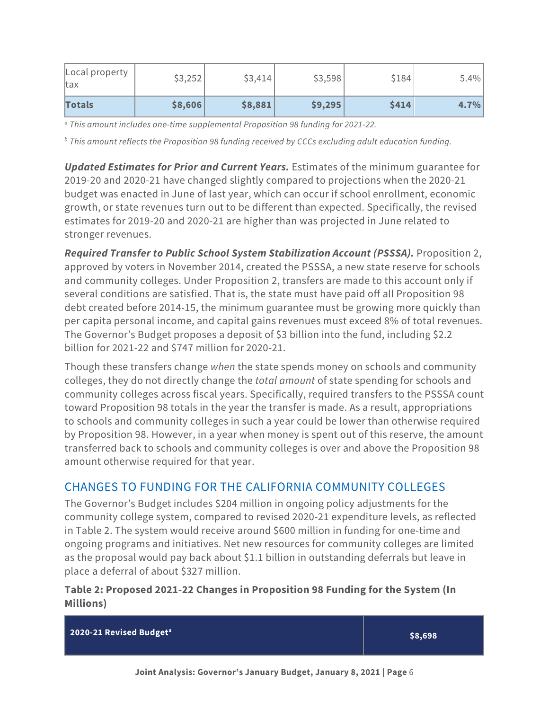| Local property<br>tax | \$3,252 | \$3,414 | \$3,598 | \$184 | $5.4\%$ |
|-----------------------|---------|---------|---------|-------|---------|
| Totals                | \$8,606 | \$8,881 | \$9,295 | \$414 | 4.7%    |

*<sup>a</sup> This amount includes one-time supplemental Proposition 98 funding for 2021-22.*

*<sup>b</sup> This amount reflects the Proposition 98 funding received by CCCs excluding adult education funding.*

*Updated Estimates for Prior and Current Years.* Estimates of the minimum guarantee for 2019-20 and 2020-21 have changed slightly compared to projections when the 2020-21 budget was enacted in June of last year, which can occur if school enrollment, economic growth, or state revenues turn out to be different than expected. Specifically, the revised estimates for 2019-20 and 2020-21 are higher than was projected in June related to stronger revenues.

*Required Transfer to Public School System Stabilization Account (PSSSA).* Proposition 2, approved by voters in November 2014, created the PSSSA, a new state reserve for schools and community colleges. Under Proposition 2, transfers are made to this account only if several conditions are satisfied. That is, the state must have paid off all Proposition 98 debt created before 2014-15, the minimum guarantee must be growing more quickly than per capita personal income, and capital gains revenues must exceed 8% of total revenues. The Governor's Budget proposes a deposit of \$3 billion into the fund, including \$2.2 billion for 2021-22 and \$747 million for 2020-21.

Though these transfers change *when* the state spends money on schools and community colleges, they do not directly change the *total amount* of state spending for schools and community colleges across fiscal years. Specifically, required transfers to the PSSSA count toward Proposition 98 totals in the year the transfer is made. As a result, appropriations to schools and community colleges in such a year could be lower than otherwise required by Proposition 98. However, in a year when money is spent out of this reserve, the amount transferred back to schools and community colleges is over and above the Proposition 98 amount otherwise required for that year.

#### CHANGES TO FUNDING FOR THE CALIFORNIA COMMUNITY COLLEGES

The Governor's Budget includes \$204 million in ongoing policy adjustments for the community college system, compared to revised 2020-21 expenditure levels, as reflected in Table 2. The system would receive around \$600 million in funding for one-time and ongoing programs and initiatives. Net new resources for community colleges are limited as the proposal would pay back about \$1.1 billion in outstanding deferrals but leave in place a deferral of about \$327 million.

#### **Table 2: Proposed 2021-22 Changes in Proposition 98 Funding for the System (In Millions)**

**2020-21 Revised Budgeta \$8,698**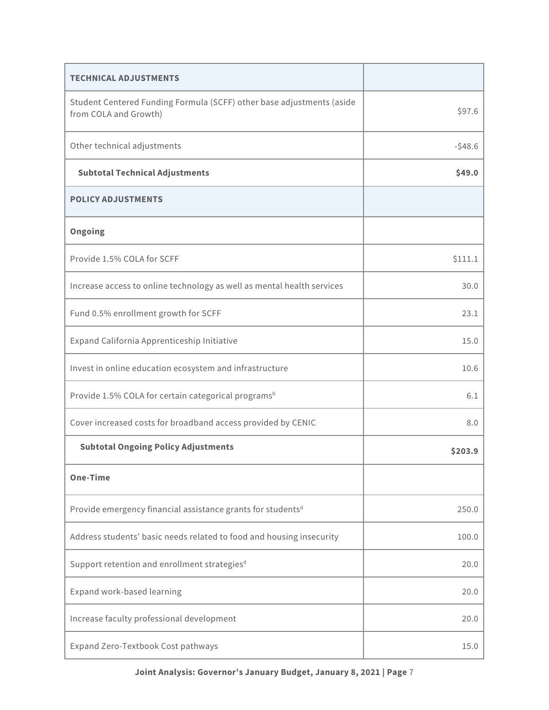| <b>TECHNICAL ADJUSTMENTS</b>                                                                   |          |
|------------------------------------------------------------------------------------------------|----------|
| Student Centered Funding Formula (SCFF) other base adjustments (aside<br>from COLA and Growth) | \$97.6   |
| Other technical adjustments                                                                    | $-548.6$ |
| <b>Subtotal Technical Adjustments</b>                                                          | \$49.0   |
| <b>POLICY ADJUSTMENTS</b>                                                                      |          |
| Ongoing                                                                                        |          |
| Provide 1.5% COLA for SCFF                                                                     | \$111.1  |
| Increase access to online technology as well as mental health services                         | 30.0     |
| Fund 0.5% enrollment growth for SCFF                                                           | 23.1     |
| Expand California Apprenticeship Initiative                                                    | 15.0     |
| Invest in online education ecosystem and infrastructure                                        | 10.6     |
| Provide 1.5% COLA for certain categorical programs <sup>b</sup>                                | 6.1      |
| Cover increased costs for broadband access provided by CENIC                                   | 8.0      |
| <b>Subtotal Ongoing Policy Adjustments</b>                                                     | \$203.9  |
| <b>One-Time</b>                                                                                |          |
| Provide emergency financial assistance grants for students <sup>d</sup>                        | 250.0    |
| Address students' basic needs related to food and housing insecurity                           | 100.0    |
| Support retention and enrollment strategies <sup>d</sup>                                       | 20.0     |
| Expand work-based learning                                                                     | 20.0     |
| Increase faculty professional development                                                      | 20.0     |
| Expand Zero-Textbook Cost pathways                                                             | 15.0     |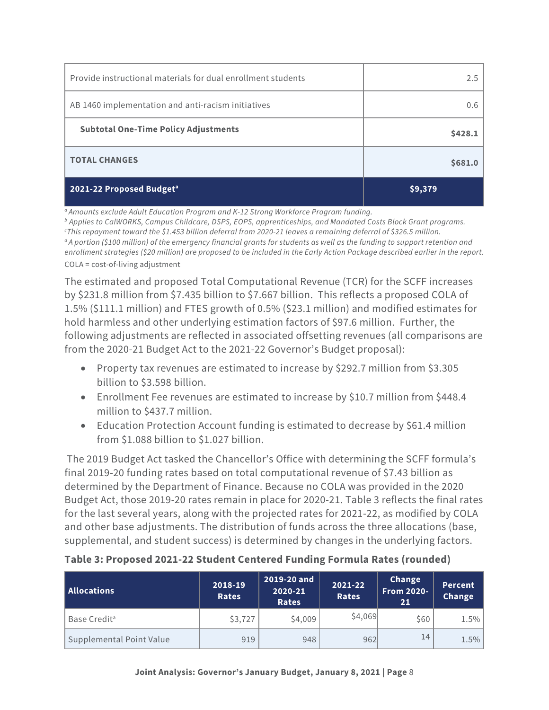| Provide instructional materials for dual enrollment students | 2.5     |
|--------------------------------------------------------------|---------|
| AB 1460 implementation and anti-racism initiatives           | 0.6     |
| <b>Subtotal One-Time Policy Adjustments</b>                  | \$428.1 |
| <b>TOTAL CHANGES</b>                                         | \$681.0 |
| 2021-22 Proposed Budget <sup>a</sup>                         | \$9,379 |

*a Amounts exclude Adult Education Program and K-12 Strong Workforce Program funding. b Applies to CalWORKS, Campus Childcare, DSPS, EOPS, apprenticeships, and Mandated Costs Block Grant programs. c This repayment toward the \$1.453 billion deferral from 2020-21 leaves a remaining deferral of \$326.5 million. d A portion (\$100 million) of the emergency financial grants for students as well as the funding to support retention and enrollment strategies (\$20 million) are proposed to be included in the Early Action Package described earlier in the report.* COLA = cost-of-living adjustment

The estimated and proposed Total Computational Revenue (TCR) for the SCFF increases by \$231.8 million from \$7.435 billion to \$7.667 billion. This reflects a proposed COLA of 1.5% (\$111.1 million) and FTES growth of 0.5% (\$23.1 million) and modified estimates for hold harmless and other underlying estimation factors of \$97.6 million. Further, the following adjustments are reflected in associated offsetting revenues (all comparisons are from the 2020-21 Budget Act to the 2021-22 Governor's Budget proposal):

- Property tax revenues are estimated to increase by \$292.7 million from \$3.305 billion to \$3.598 billion.
- Enrollment Fee revenues are estimated to increase by \$10.7 million from \$448.4 million to \$437.7 million.
- Education Protection Account funding is estimated to decrease by \$61.4 million from \$1.088 billion to \$1.027 billion.

The 2019 Budget Act tasked the Chancellor's Office with determining the SCFF formula's final 2019-20 funding rates based on total computational revenue of \$7.43 billion as determined by the Department of Finance. Because no COLA was provided in the 2020 Budget Act, those 2019-20 rates remain in place for 2020-21. Table 3 reflects the final rates for the last several years, along with the projected rates for 2021-22, as modified by COLA and other base adjustments. The distribution of funds across the three allocations (base, supplemental, and student success) is determined by changes in the underlying factors.

| Allocations              | 2018-19<br><b>Rates</b> | 2019-20 and<br>2020-21<br><b>Rates</b> | 2021-22<br><b>Rates</b> | Change<br><b>From 2020-</b><br>21 | Percent<br>Change |
|--------------------------|-------------------------|----------------------------------------|-------------------------|-----------------------------------|-------------------|
| Base Credit <sup>a</sup> | \$3,727                 | \$4,009                                | \$4,069                 | \$60                              | 1.5%              |
| Supplemental Point Value | 919                     | 948                                    | 962                     | 14                                | 1.5%              |

#### **Table 3: Proposed 2021-22 Student Centered Funding Formula Rates (rounded)**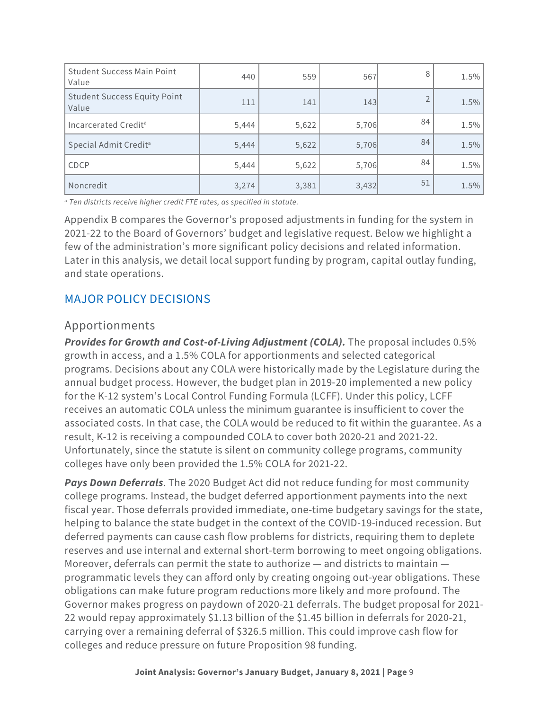| <b>Student Success Main Point</b><br>Value   | 440   | 559   | 567   | 8  | 1.5% |
|----------------------------------------------|-------|-------|-------|----|------|
| <b>Student Success Equity Point</b><br>Value | 111   | 141   | 143   |    | 1.5% |
| Incarcerated Credit <sup>a</sup>             | 5,444 | 5,622 | 5,706 | 84 | 1.5% |
| Special Admit Credit <sup>a</sup>            | 5,444 | 5,622 | 5,706 | 84 | 1.5% |
| CDCP                                         | 5,444 | 5,622 | 5,706 | 84 | 1.5% |
| Noncredit                                    | 3,274 | 3,381 | 3,432 | 51 | 1.5% |

*<sup>a</sup> Ten districts receive higher credit FTE rates, as specified in statute.*

Appendix B compares the Governor's proposed adjustments in funding for the system in 2021-22 to the Board of Governors' budget and legislative request. Below we highlight a few of the administration's more significant policy decisions and related information. Later in this analysis, we detail local support funding by program, capital outlay funding, and state operations.

#### MAJOR POLICY DECISIONS

#### Apportionments

*Provides for Growth and Cost-of-Living Adjustment (COLA).* The proposal includes 0.5% growth in access, and a 1.5% COLA for apportionments and selected categorical programs. Decisions about any COLA were historically made by the Legislature during the annual budget process. However, the budget plan in 2019‑20 implemented a new policy for the K-12 system's Local Control Funding Formula (LCFF). Under this policy, LCFF receives an automatic COLA unless the minimum guarantee is insufficient to cover the associated costs. In that case, the COLA would be reduced to fit within the guarantee. As a result, K-12 is receiving a compounded COLA to cover both 2020-21 and 2021-22. Unfortunately, since the statute is silent on community college programs, community colleges have only been provided the 1.5% COLA for 2021-22.

*Pays Down Deferrals*. The 2020 Budget Act did not reduce funding for most community college programs. Instead, the budget deferred apportionment payments into the next fiscal year. Those deferrals provided immediate, one-time budgetary savings for the state, helping to balance the state budget in the context of the COVID-19-induced recession. But deferred payments can cause cash flow problems for districts, requiring them to deplete reserves and use internal and external short-term borrowing to meet ongoing obligations. Moreover, deferrals can permit the state to authorize — and districts to maintain programmatic levels they can afford only by creating ongoing out-year obligations. These obligations can make future program reductions more likely and more profound. The Governor makes progress on paydown of 2020-21 deferrals. The budget proposal for 2021- 22 would repay approximately \$1.13 billion of the \$1.45 billion in deferrals for 2020-21, carrying over a remaining deferral of \$326.5 million. This could improve cash flow for colleges and reduce pressure on future Proposition 98 funding.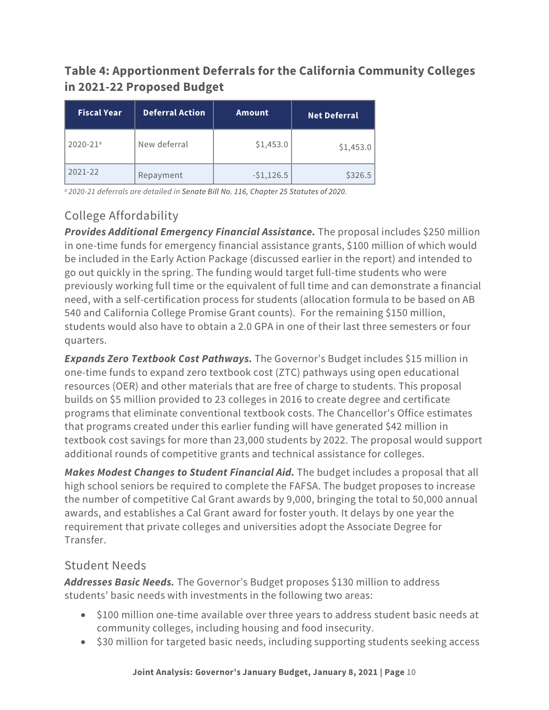## **Table 4: Apportionment Deferrals for the California Community Colleges in 2021-22 Proposed Budget**

| <b>Fiscal Year</b>       | <b>Deferral Action</b> | <b>Amount</b> | <b>Net Deferral</b> |
|--------------------------|------------------------|---------------|---------------------|
| $2020 - 21$ <sup>a</sup> | New deferral           | \$1,453.0     | \$1,453.0           |
| 2021-22                  | Repayment              | $-51,126.5$   | \$326.5             |

*a 2020-21 deferrals are detailed in Senate Bill No. 116, Chapter 25 Statutes of 2020.*

# College Affordability

*Provides Additional Emergency Financial Assistance.* The proposal includes \$250 million in one-time funds for emergency financial assistance grants, \$100 million of which would be included in the Early Action Package (discussed earlier in the report) and intended to go out quickly in the spring. The funding would target full-time students who were previously working full time or the equivalent of full time and can demonstrate a financial need, with a self-certification process for students (allocation formula to be based on AB 540 and California College Promise Grant counts). For the remaining \$150 million, students would also have to obtain a 2.0 GPA in one of their last three semesters or four quarters.

*Expands Zero Textbook Cost Pathways.* The Governor's Budget includes \$15 million in one-time funds to expand zero textbook cost (ZTC) pathways using open educational resources (OER) and other materials that are free of charge to students. This proposal builds on \$5 million provided to 23 colleges in 2016 to create degree and certificate programs that eliminate conventional textbook costs. The Chancellor's Office estimates that programs created under this earlier funding will have generated \$42 million in textbook cost savings for more than 23,000 students by 2022. The proposal would support additional rounds of competitive grants and technical assistance for colleges.

*Makes Modest Changes to Student Financial Aid.* The budget includes a proposal that all high school seniors be required to complete the FAFSA. The budget proposes to increase the number of competitive Cal Grant awards by 9,000, bringing the total to 50,000 annual awards, and establishes a Cal Grant award for foster youth. It delays by one year the requirement that private colleges and universities adopt the Associate Degree for Transfer.

#### Student Needs

*Addresses Basic Needs.* The Governor's Budget proposes \$130 million to address students' basic needs with investments in the following two areas:

- \$100 million one-time available over three years to address student basic needs at community colleges, including housing and food insecurity.
- \$30 million for targeted basic needs, including supporting students seeking access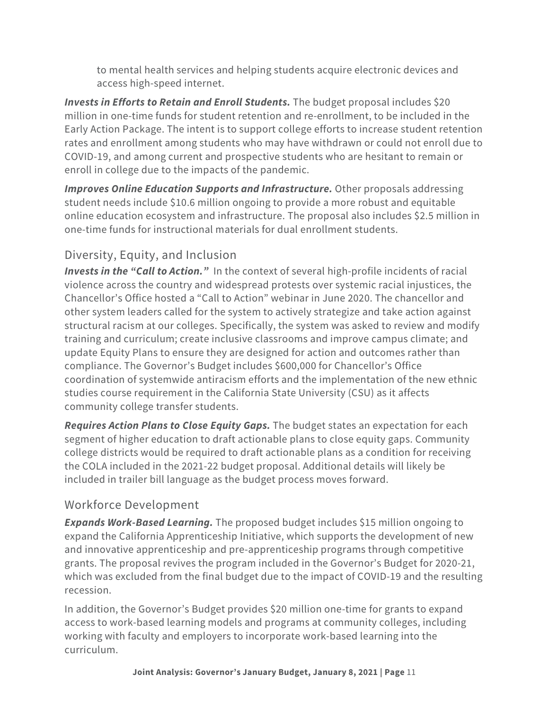to mental health services and helping students acquire electronic devices and access high-speed internet.

*Invests in Efforts to Retain and Enroll Students. The budget proposal includes \$20* million in one-time funds for student retention and re-enrollment, to be included in the Early Action Package. The intent is to support college efforts to increase student retention rates and enrollment among students who may have withdrawn or could not enroll due to COVID-19, and among current and prospective students who are hesitant to remain or enroll in college due to the impacts of the pandemic.

*Improves Online Education Supports and Infrastructure.* Other proposals addressing student needs include \$10.6 million ongoing to provide a more robust and equitable online education ecosystem and infrastructure. The proposal also includes \$2.5 million in one-time funds for instructional materials for dual enrollment students.

## Diversity, Equity, and Inclusion

*Invests in the "Call to Action."* In the context of several high-profile incidents of racial violence across the country and widespread protests over systemic racial injustices, the Chancellor's Office hosted a "Call to Action" webinar in June 2020. The chancellor and other system leaders called for the system to actively strategize and take action against structural racism at our colleges. Specifically, the system was asked to review and modify training and curriculum; create inclusive classrooms and improve campus climate; and update Equity Plans to ensure they are designed for action and outcomes rather than compliance. The Governor's Budget includes \$600,000 for Chancellor's Office coordination of systemwide antiracism efforts and the implementation of the new ethnic studies course requirement in the California State University (CSU) as it affects community college transfer students.

*Requires Action Plans to Close Equity Gaps.* The budget states an expectation for each segment of higher education to draft actionable plans to close equity gaps. Community college districts would be required to draft actionable plans as a condition for receiving the COLA included in the 2021-22 budget proposal. Additional details will likely be included in trailer bill language as the budget process moves forward.

#### Workforce Development

*Expands Work-Based Learning.* The proposed budget includes \$15 million ongoing to expand the California Apprenticeship Initiative, which supports the development of new and innovative apprenticeship and pre-apprenticeship programs through competitive grants. The proposal revives the program included in the Governor's Budget for 2020-21, which was excluded from the final budget due to the impact of COVID-19 and the resulting recession.

In addition, the Governor's Budget provides \$20 million one-time for grants to expand access to work-based learning models and programs at community colleges, including working with faculty and employers to incorporate work-based learning into the curriculum.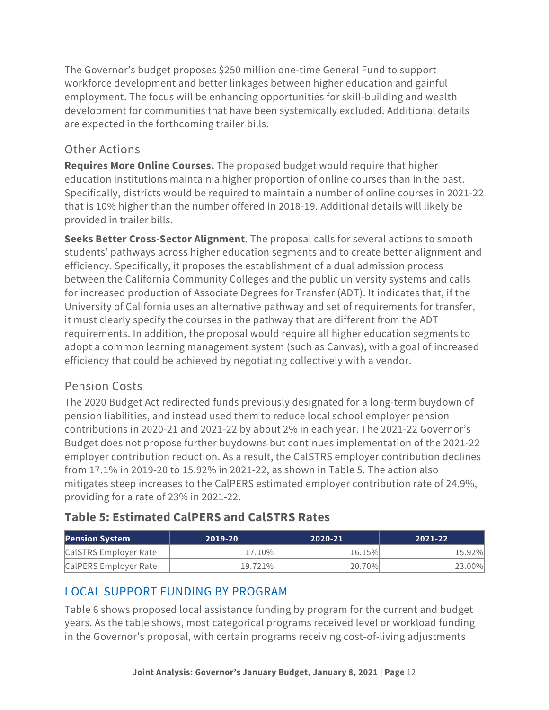The Governor's budget proposes \$250 million one-time General Fund to support workforce development and better linkages between higher education and gainful employment. The focus will be enhancing opportunities for skill-building and wealth development for communities that have been systemically excluded. Additional details are expected in the forthcoming trailer bills.

#### Other Actions

**Requires More Online Courses.** The proposed budget would require that higher education institutions maintain a higher proportion of online courses than in the past. Specifically, districts would be required to maintain a number of online courses in 2021-22 that is 10% higher than the number offered in 2018-19. Additional details will likely be provided in trailer bills.

**Seeks Better Cross-Sector Alignment**. The proposal calls for several actions to smooth students' pathways across higher education segments and to create better alignment and efficiency. Specifically, it proposes the establishment of a dual admission process between the California Community Colleges and the public university systems and calls for increased production of Associate Degrees for Transfer (ADT). It indicates that, if the University of California uses an alternative pathway and set of requirements for transfer, it must clearly specify the courses in the pathway that are different from the ADT requirements. In addition, the proposal would require all higher education segments to adopt a common learning management system (such as Canvas), with a goal of increased efficiency that could be achieved by negotiating collectively with a vendor.

#### Pension Costs

The 2020 Budget Act redirected funds previously designated for a long-term buydown of pension liabilities, and instead used them to reduce local school employer pension contributions in 2020-21 and 2021-22 by about 2% in each year. The 2021-22 Governor's Budget does not propose further buydowns but continues implementation of the 2021-22 employer contribution reduction. As a result, the CalSTRS employer contribution declines from 17.1% in 2019-20 to 15.92% in 2021-22, as shown in Table 5. The action also mitigates steep increases to the CalPERS estimated employer contribution rate of 24.9%, providing for a rate of 23% in 2021-22.

#### **Table 5: Estimated CalPERS and CalSTRS Rates**

| <b>Pension System</b> | 2019-20 | 2020-21 | .2021-221 |
|-----------------------|---------|---------|-----------|
| CalSTRS Employer Rate | 17.10%  | 16.15%  | 15.92%    |
| CalPERS Employer Rate | 19.721% | 20.70%  | 23.00%    |

#### LOCAL SUPPORT FUNDING BY PROGRAM

Table 6 shows proposed local assistance funding by program for the current and budget years. As the table shows, most categorical programs received level or workload funding in the Governor's proposal, with certain programs receiving cost-of-living adjustments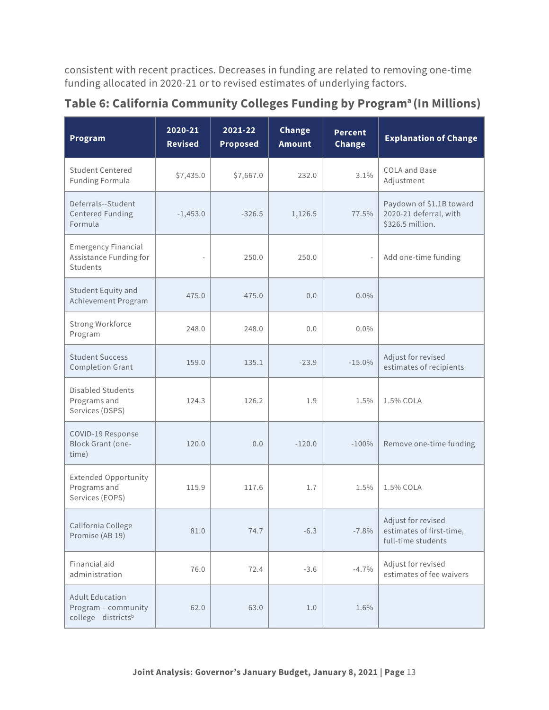consistent with recent practices. Decreases in funding are related to removing one-time funding allocated in 2020-21 or to revised estimates of underlying factors.

| Program                                                                         | 2020-21<br><b>Revised</b> | 2021-22<br><b>Proposed</b> | Change<br><b>Amount</b> | <b>Percent</b><br>Change | <b>Explanation of Change</b>                                           |
|---------------------------------------------------------------------------------|---------------------------|----------------------------|-------------------------|--------------------------|------------------------------------------------------------------------|
| <b>Student Centered</b><br><b>Funding Formula</b>                               | \$7,435.0                 | \$7,667.0                  | 232.0                   | 3.1%                     | COLA and Base<br>Adjustment                                            |
| Deferrals--Student<br><b>Centered Funding</b><br>Formula                        | $-1,453.0$                | $-326.5$                   | 1,126.5                 | 77.5%                    | Paydown of \$1.1B toward<br>2020-21 deferral, with<br>\$326.5 million. |
| <b>Emergency Financial</b><br>Assistance Funding for<br>Students                |                           | 250.0                      | 250.0                   | $\overline{\phantom{a}}$ | Add one-time funding                                                   |
| Student Equity and<br>Achievement Program                                       | 475.0                     | 475.0                      | 0.0                     | $0.0\%$                  |                                                                        |
| Strong Workforce<br>Program                                                     | 248.0                     | 248.0                      | 0.0                     | $0.0\%$                  |                                                                        |
| <b>Student Success</b><br><b>Completion Grant</b>                               | 159.0                     | 135.1                      | $-23.9$                 | $-15.0%$                 | Adjust for revised<br>estimates of recipients                          |
| <b>Disabled Students</b><br>Programs and<br>Services (DSPS)                     | 124.3                     | 126.2                      | 1.9                     | 1.5%                     | 1.5% COLA                                                              |
| COVID-19 Response<br><b>Block Grant (one-</b><br>time)                          | 120.0                     | 0.0                        | $-120.0$                | $-100%$                  | Remove one-time funding                                                |
| <b>Extended Opportunity</b><br>Programs and<br>Services (EOPS)                  | 115.9                     | 117.6                      | 1.7                     | 1.5%                     | 1.5% COLA                                                              |
| California College<br>Promise (AB 19)                                           | 81.0                      | 74.7                       | $-6.3$                  | $-7.8%$                  | Adjust for revised<br>estimates of first-time,<br>full-time students   |
| Financial aid<br>administration                                                 | 76.0                      | 72.4                       | $-3.6$                  | $-4.7%$                  | Adjust for revised<br>estimates of fee waivers                         |
| <b>Adult Education</b><br>Program - community<br>college districts <sup>b</sup> | 62.0                      | 63.0                       | 1.0                     | 1.6%                     |                                                                        |

**Table 6: California Community Colleges Funding by Programa (In Millions)**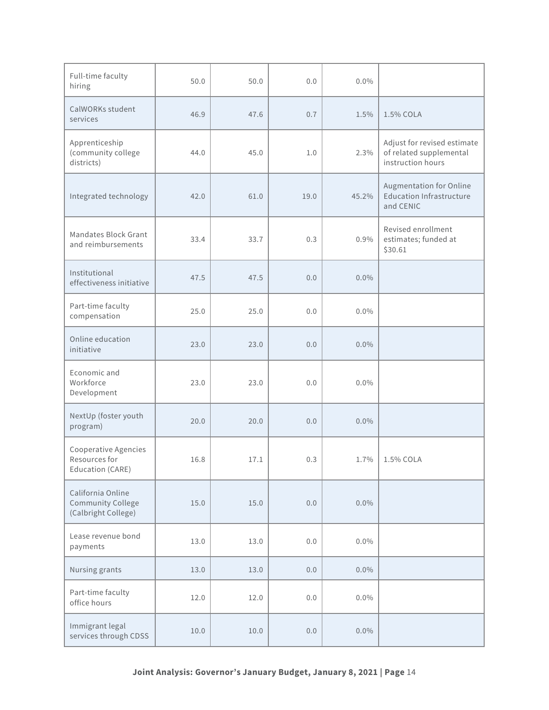| Full-time faculty<br>hiring                                   | 50.0 | 50.0 | 0.0   | $0.0\%$ |                                                                             |
|---------------------------------------------------------------|------|------|-------|---------|-----------------------------------------------------------------------------|
| CalWORKs student<br>services                                  | 46.9 | 47.6 | 0.7   | 1.5%    | 1.5% COLA                                                                   |
| Apprenticeship<br>(community college<br>districts)            | 44.0 | 45.0 | 1.0   | 2.3%    | Adjust for revised estimate<br>of related supplemental<br>instruction hours |
| Integrated technology                                         | 42.0 | 61.0 | 19.0  | 45.2%   | Augmentation for Online<br><b>Education Infrastructure</b><br>and CENIC     |
| Mandates Block Grant<br>and reimbursements                    | 33.4 | 33.7 | 0.3   | $0.9\%$ | Revised enrollment<br>estimates; funded at<br>\$30.61                       |
| Institutional<br>effectiveness initiative                     | 47.5 | 47.5 | 0.0   | $0.0\%$ |                                                                             |
| Part-time faculty<br>compensation                             | 25.0 | 25.0 | 0.0   | $0.0\%$ |                                                                             |
| Online education<br>initiative                                | 23.0 | 23.0 | 0.0   | $0.0\%$ |                                                                             |
| Economic and<br>Workforce<br>Development                      | 23.0 | 23.0 | 0.0   | $0.0\%$ |                                                                             |
| NextUp (foster youth<br>program)                              | 20.0 | 20.0 | 0.0   | $0.0\%$ |                                                                             |
| Cooperative Agencies<br>Resources for<br>Education (CARE)     | 16.8 | 17.1 | 0.3   | 1.7%    | 1.5% COLA                                                                   |
| California Online<br>Community College<br>(Calbright College) | 15.0 | 15.0 | 0.0   | $0.0\%$ |                                                                             |
| Lease revenue bond<br>payments                                | 13.0 | 13.0 | $0.0$ | $0.0\%$ |                                                                             |
| Nursing grants                                                | 13.0 | 13.0 | 0.0   | $0.0\%$ |                                                                             |
| Part-time faculty<br>office hours                             | 12.0 | 12.0 | 0.0   | $0.0\%$ |                                                                             |
| Immigrant legal<br>services through CDSS                      | 10.0 | 10.0 | 0.0   | $0.0\%$ |                                                                             |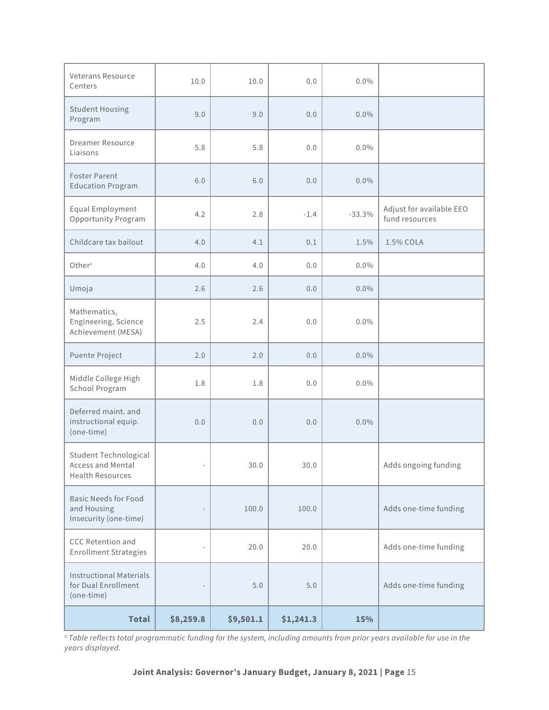| Veterans Resource<br>Centers                                          | 10.0      | 10.0      | 0.0       | $0.0\%$  |                                            |
|-----------------------------------------------------------------------|-----------|-----------|-----------|----------|--------------------------------------------|
| <b>Student Housing</b><br>Program                                     | 9.0       | 9.0       | 0.0       | $0.0\%$  |                                            |
| <b>Dreamer Resource</b><br>Liaisons                                   | 5.8       | 5.8       | 0.0       | $0.0\%$  |                                            |
| <b>Foster Parent</b><br><b>Education Program</b>                      | 6.0       | 6.0       | 0.0       | $0.0\%$  |                                            |
| Equal Employment<br>Opportunity Program                               | 4.2       | 2.8       | $-1.4$    | $-33.3%$ | Adjust for available EEO<br>fund resources |
| Childcare tax bailout                                                 | 4.0       | 4.1       | 0.1       | 1.5%     | 1.5% COLA                                  |
| Other <sup>c</sup>                                                    | 4.0       | 4.0       | 0.0       | $0.0\%$  |                                            |
| Umoja                                                                 | 2.6       | 2.6       | 0.0       | $0.0\%$  |                                            |
| Mathematics,<br>Engineering, Science<br>Achievement (MESA)            | 2.5       | 2.4       | 0.0       | $0.0\%$  |                                            |
| Puente Project                                                        | 2.0       | 2.0       | 0.0       | $0.0\%$  |                                            |
| Middle College High<br>School Program                                 | 1.8       | 1.8       | 0.0       | $0.0\%$  |                                            |
| Deferred maint. and<br>instructional equip.<br>(one-time)             | 0.0       | 0.0       | 0.0       | $0.0\%$  |                                            |
| Student Technological<br>Access and Mental<br><b>Health Resources</b> |           | 30.0      | 30.0      |          | Adds ongoing funding                       |
| <b>Basic Needs for Food</b><br>and Housing<br>Insecurity (one-time)   |           | 100.0     | 100.0     |          | Adds one-time funding                      |
| <b>CCC Retention and</b><br><b>Enrollment Strategies</b>              |           | 20.0      | 20.0      |          | Adds one-time funding                      |
| <b>Instructional Materials</b><br>for Dual Enrollment<br>(one-time)   |           | $5.0$     | 5.0       |          | Adds one-time funding                      |
| <b>Total</b>                                                          | \$8,259.8 | \$9,501.1 | \$1,241.3 | 15%      |                                            |

*a Table reflects total programmatic funding for the system, including amounts from prior years available for use in the years displayed.*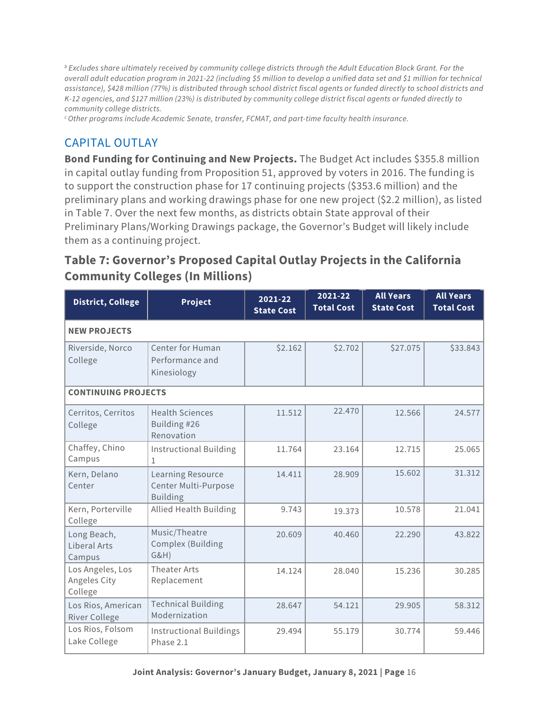*b Excludes share ultimately received by community college districts through the Adult Education Block Grant. For the overall adult education program in 2021-22 (including \$5 million to develop a unified data set and \$1 million for technical assistance), \$428 million (77%) is distributed through school district fiscal agents or funded directly to school districts and K-12 agencies, and \$127 million (23%) is distributed by community college district fiscal agents or funded directly to community college districts.*

*c Other programs include Academic Senate, transfer, FCMAT, and part-time faculty health insurance.*

#### CAPITAL OUTLAY

**Bond Funding for Continuing and New Projects.** The Budget Act includes \$355.8 million in capital outlay funding from Proposition 51, approved by voters in 2016. The funding is to support the construction phase for 17 continuing projects (\$353.6 million) and the preliminary plans and working drawings phase for one new project (\$2.2 million), as listed in Table 7. Over the next few months, as districts obtain State approval of their Preliminary Plans/Working Drawings package, the Governor's Budget will likely include them as a continuing project.

## **Table 7: Governor's Proposed Capital Outlay Projects in the California Community Colleges (In Millions)**

| <b>District, College</b>                    | Project                                                      | 2021-22<br><b>State Cost</b> | 2021-22<br><b>Total Cost</b> | <b>All Years</b><br><b>State Cost</b> | <b>All Years</b><br><b>Total Cost</b> |  |  |  |
|---------------------------------------------|--------------------------------------------------------------|------------------------------|------------------------------|---------------------------------------|---------------------------------------|--|--|--|
| <b>NEW PROJECTS</b>                         |                                                              |                              |                              |                                       |                                       |  |  |  |
| Riverside, Norco<br>College                 | <b>Center for Human</b><br>Performance and<br>Kinesiology    | \$2.162                      | \$2.702                      | \$27.075                              | \$33.843                              |  |  |  |
| <b>CONTINUING PROJECTS</b>                  |                                                              |                              |                              |                                       |                                       |  |  |  |
| Cerritos, Cerritos<br>College               | <b>Health Sciences</b><br>Building #26<br>Renovation         | 11.512                       | 22.470                       | 12.566                                | 24.577                                |  |  |  |
| Chaffey, Chino<br>Campus                    | <b>Instructional Building</b><br>1                           | 11.764                       | 23.164                       | 12.715                                | 25.065                                |  |  |  |
| Kern, Delano<br>Center                      | Learning Resource<br>Center Multi-Purpose<br><b>Building</b> | 14.411                       | 28.909                       | 15.602                                | 31.312                                |  |  |  |
| Kern, Porterville<br>College                | <b>Allied Health Building</b>                                | 9.743                        | 19.373                       | 10.578                                | 21.041                                |  |  |  |
| Long Beach,<br>Liberal Arts<br>Campus       | Music/Theatre<br>Complex (Building<br>G&H)                   | 20.609                       | 40.460                       | 22.290                                | 43.822                                |  |  |  |
| Los Angeles, Los<br>Angeles City<br>College | Theater Arts<br>Replacement                                  | 14.124                       | 28.040                       | 15.236                                | 30.285                                |  |  |  |
| Los Rios, American<br><b>River College</b>  | <b>Technical Building</b><br>Modernization                   | 28.647                       | 54.121                       | 29.905                                | 58.312                                |  |  |  |
| Los Rios, Folsom<br>Lake College            | <b>Instructional Buildings</b><br>Phase 2.1                  | 29.494                       | 55.179                       | 30.774                                | 59.446                                |  |  |  |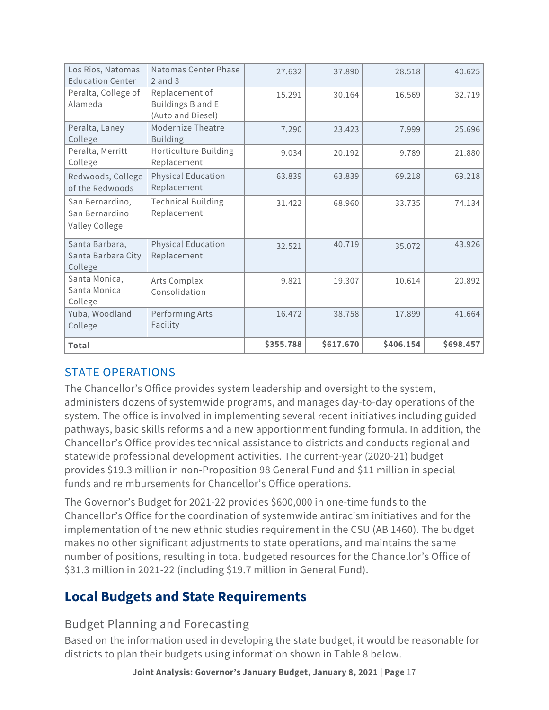| Los Rios, Natomas<br><b>Education Center</b>        | Natomas Center Phase<br>$2$ and $3$                      | 27.632    | 37.890    | 28.518    | 40.625    |
|-----------------------------------------------------|----------------------------------------------------------|-----------|-----------|-----------|-----------|
| Peralta, College of<br>Alameda                      | Replacement of<br>Buildings B and E<br>(Auto and Diesel) | 15.291    | 30.164    | 16.569    | 32.719    |
| Peralta, Laney<br>College                           | <b>Modernize Theatre</b><br><b>Building</b>              | 7.290     | 23.423    | 7.999     | 25.696    |
| Peralta, Merritt<br>College                         | Horticulture Building<br>Replacement                     | 9.034     | 20.192    | 9.789     | 21.880    |
| Redwoods, College<br>of the Redwoods                | <b>Physical Education</b><br>Replacement                 | 63.839    | 63.839    | 69.218    | 69.218    |
| San Bernardino,<br>San Bernardino<br>Valley College | <b>Technical Building</b><br>Replacement                 | 31.422    | 68.960    | 33.735    | 74.134    |
| Santa Barbara,<br>Santa Barbara City<br>College     | <b>Physical Education</b><br>Replacement                 | 32.521    | 40.719    | 35.072    | 43.926    |
| Santa Monica,<br>Santa Monica<br>College            | Arts Complex<br>Consolidation                            | 9.821     | 19.307    | 10.614    | 20.892    |
| Yuba, Woodland<br>College                           | Performing Arts<br>Facility                              | 16.472    | 38.758    | 17.899    | 41.664    |
| <b>Total</b>                                        |                                                          | \$355.788 | \$617.670 | \$406.154 | \$698.457 |

#### STATE OPERATIONS

The Chancellor's Office provides system leadership and oversight to the system, administers dozens of systemwide programs, and manages day-to-day operations of the system. The office is involved in implementing several recent initiatives including guided pathways, basic skills reforms and a new apportionment funding formula. In addition, the Chancellor's Office provides technical assistance to districts and conducts regional and statewide professional development activities. The current-year (2020-21) budget provides \$19.3 million in non-Proposition 98 General Fund and \$11 million in special funds and reimbursements for Chancellor's Office operations.

The Governor's Budget for 2021-22 provides \$600,000 in one-time funds to the Chancellor's Office for the coordination of systemwide antiracism initiatives and for the implementation of the new ethnic studies requirement in the CSU (AB 1460). The budget makes no other significant adjustments to state operations, and maintains the same number of positions, resulting in total budgeted resources for the Chancellor's Office of \$31.3 million in 2021-22 (including \$19.7 million in General Fund).

# **Local Budgets and State Requirements**

#### Budget Planning and Forecasting

Based on the information used in developing the state budget, it would be reasonable for districts to plan their budgets using information shown in Table 8 below.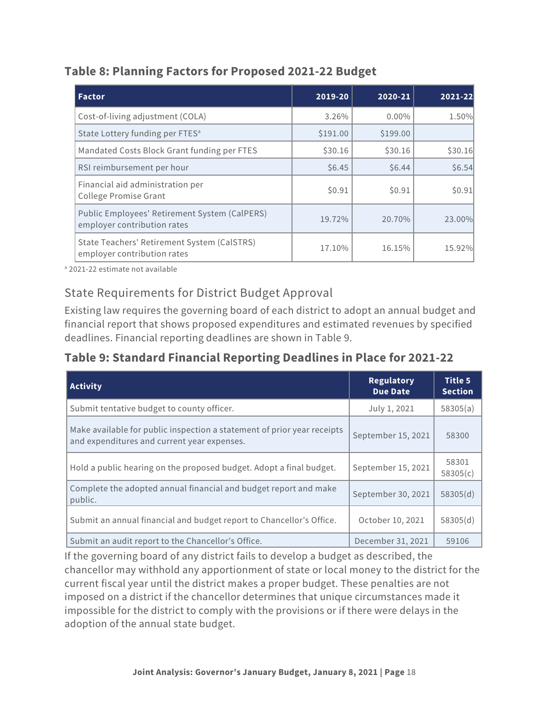#### **Table 8: Planning Factors for Proposed 2021-22 Budget**

| l Factor                                                                     | 2019-20  | 2020-21  | 2021-22 |
|------------------------------------------------------------------------------|----------|----------|---------|
| Cost-of-living adjustment (COLA)                                             | 3.26%    | $0.00\%$ | 1.50%   |
| State Lottery funding per FTES <sup>a</sup>                                  | \$191.00 | \$199.00 |         |
| Mandated Costs Block Grant funding per FTES                                  | \$30.16  | \$30.16  | \$30.16 |
| RSI reimbursement per hour                                                   | \$6.45   | \$6.44   | \$6.54  |
| Financial aid administration per<br><b>College Promise Grant</b>             | \$0.91   | \$0.91   | \$0.91  |
| Public Employees' Retirement System (CalPERS)<br>employer contribution rates | 19.72%   | 20.70%   | 23.00%  |
| State Teachers' Retirement System (CalSTRS)<br>employer contribution rates   | 17.10%   | 16.15%   | 15.92%  |

<sup>a</sup> 2021-22 estimate not available

#### State Requirements for District Budget Approval

Existing law requires the governing board of each district to adopt an annual budget and financial report that shows proposed expenditures and estimated revenues by specified deadlines. Financial reporting deadlines are shown in Table 9.

#### **Table 9: Standard Financial Reporting Deadlines in Place for 2021-22**

| <b>Activity</b>                                                                                                        | <b>Regulatory</b><br><b>Due Date</b> | <b>Title 5</b><br><b>Section</b> |
|------------------------------------------------------------------------------------------------------------------------|--------------------------------------|----------------------------------|
| Submit tentative budget to county officer.                                                                             | July 1, 2021                         | 58305(a)                         |
| Make available for public inspection a statement of prior year receipts<br>and expenditures and current year expenses. | September 15, 2021                   | 58300                            |
| Hold a public hearing on the proposed budget. Adopt a final budget.                                                    | September 15, 2021                   | 58301<br>58305(c)                |
| Complete the adopted annual financial and budget report and make<br>public.                                            | September 30, 2021                   | 58305(d)                         |
| Submit an annual financial and budget report to Chancellor's Office.                                                   | October 10, 2021                     | 58305(d)                         |
| Submit an audit report to the Chancellor's Office.                                                                     | December 31, 2021                    | 59106                            |

If the governing board of any district fails to develop a budget as described, the chancellor may withhold any apportionment of state or local money to the district for the current fiscal year until the district makes a proper budget. These penalties are not imposed on a district if the chancellor determines that unique circumstances made it impossible for the district to comply with the provisions or if there were delays in the adoption of the annual state budget.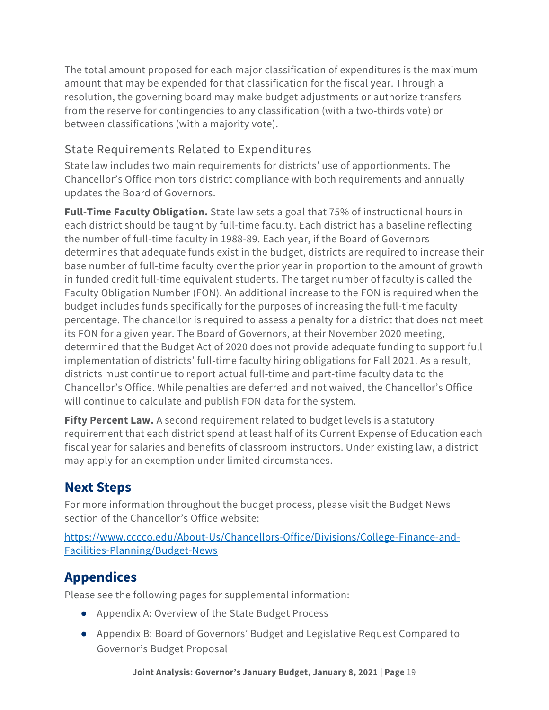The total amount proposed for each major classification of expenditures is the maximum amount that may be expended for that classification for the fiscal year. Through a resolution, the governing board may make budget adjustments or authorize transfers from the reserve for contingencies to any classification (with a two-thirds vote) or between classifications (with a majority vote).

### State Requirements Related to Expenditures

State law includes two main requirements for districts' use of apportionments. The Chancellor's Office monitors district compliance with both requirements and annually updates the Board of Governors.

**Full-Time Faculty Obligation.** State law sets a goal that 75% of instructional hours in each district should be taught by full-time faculty. Each district has a baseline reflecting the number of full-time faculty in 1988-89. Each year, if the Board of Governors determines that adequate funds exist in the budget, districts are required to increase their base number of full-time faculty over the prior year in proportion to the amount of growth in funded credit full-time equivalent students. The target number of faculty is called the Faculty Obligation Number (FON). An additional increase to the FON is required when the budget includes funds specifically for the purposes of increasing the full-time faculty percentage. The chancellor is required to assess a penalty for a district that does not meet its FON for a given year. The Board of Governors, at their November 2020 meeting, determined that the Budget Act of 2020 does not provide adequate funding to support full implementation of districts' full-time faculty hiring obligations for Fall 2021. As a result, districts must continue to report actual full-time and part-time faculty data to the Chancellor's Office. While penalties are deferred and not waived, the Chancellor's Office will continue to calculate and publish FON data for the system.

**Fifty Percent Law.** A second requirement related to budget levels is a statutory requirement that each district spend at least half of its Current Expense of Education each fiscal year for salaries and benefits of classroom instructors. Under existing law, a district may apply for an exemption under limited circumstances.

# **Next Steps**

For more information throughout the budget process, please visit the Budget News section of the Chancellor's Office website:

[https://www.cccco.edu/About-Us/Chancellors-Office/Divisions/College-Finance-and-](https://www.cccco.edu/About-Us/Chancellors-Office/Divisions/College-Finance-and-Facilities-Planning/Budget-News)[Facilities-Planning/Budget-News](https://www.cccco.edu/About-Us/Chancellors-Office/Divisions/College-Finance-and-Facilities-Planning/Budget-News)

# **Appendices**

Please see the following pages for supplemental information:

- Appendix A: Overview of the State Budget Process
- Appendix B: Board of Governors' Budget and Legislative Request Compared to Governor's Budget Proposal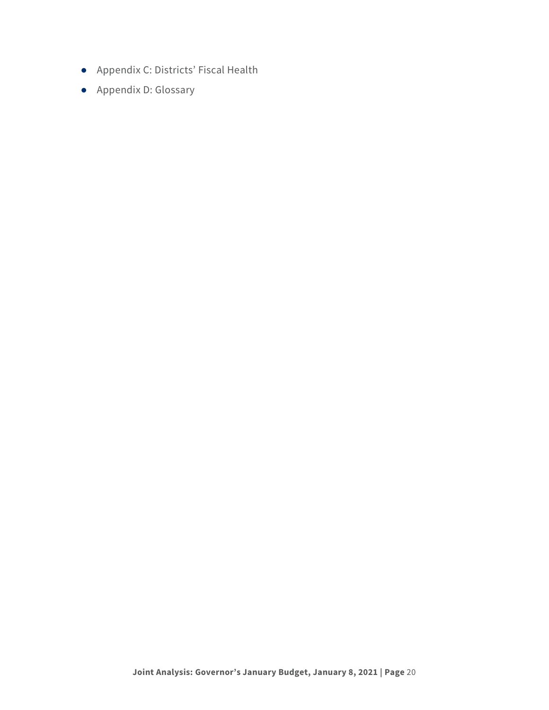- Appendix C: Districts' Fiscal Health
- Appendix D: Glossary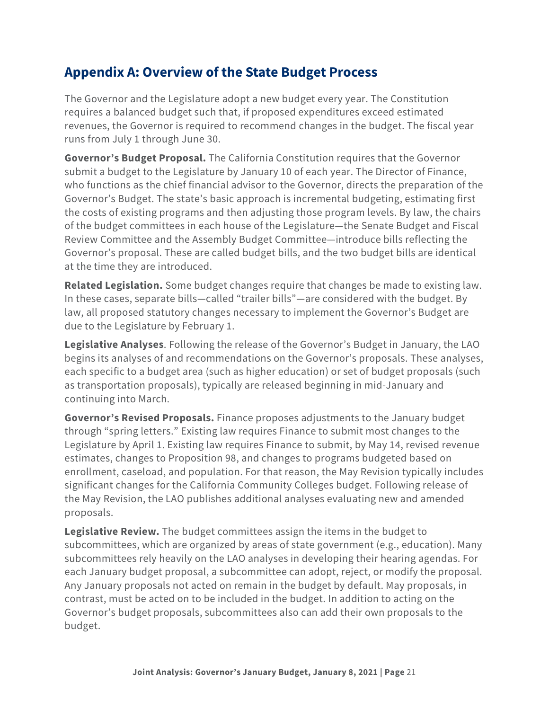## **Appendix A: Overview of the State Budget Process**

The Governor and the Legislature adopt a new budget every year. The Constitution requires a balanced budget such that, if proposed expenditures exceed estimated revenues, the Governor is required to recommend changes in the budget. The fiscal year runs from July 1 through June 30.

**Governor's Budget Proposal.** The California Constitution requires that the Governor submit a budget to the Legislature by January 10 of each year. The Director of Finance, who functions as the chief financial advisor to the Governor, directs the preparation of the Governor's Budget. The state's basic approach is incremental budgeting, estimating first the costs of existing programs and then adjusting those program levels. By law, the chairs of the budget committees in each house of the Legislature—the Senate Budget and Fiscal Review Committee and the Assembly Budget Committee—introduce bills reflecting the Governor's proposal. These are called budget bills, and the two budget bills are identical at the time they are introduced.

**Related Legislation.** Some budget changes require that changes be made to existing law. In these cases, separate bills—called "trailer bills"—are considered with the budget. By law, all proposed statutory changes necessary to implement the Governor's Budget are due to the Legislature by February 1.

**Legislative Analyses**. Following the release of the Governor's Budget in January, the LAO begins its analyses of and recommendations on the Governor's proposals. These analyses, each specific to a budget area (such as higher education) or set of budget proposals (such as transportation proposals), typically are released beginning in mid-January and continuing into March.

**Governor's Revised Proposals.** Finance proposes adjustments to the January budget through "spring letters." Existing law requires Finance to submit most changes to the Legislature by April 1. Existing law requires Finance to submit, by May 14, revised revenue estimates, changes to Proposition 98, and changes to programs budgeted based on enrollment, caseload, and population. For that reason, the May Revision typically includes significant changes for the California Community Colleges budget. Following release of the May Revision, the LAO publishes additional analyses evaluating new and amended proposals.

**Legislative Review.** The budget committees assign the items in the budget to subcommittees, which are organized by areas of state government (e.g., education). Many subcommittees rely heavily on the LAO analyses in developing their hearing agendas. For each January budget proposal, a subcommittee can adopt, reject, or modify the proposal. Any January proposals not acted on remain in the budget by default. May proposals, in contrast, must be acted on to be included in the budget. In addition to acting on the Governor's budget proposals, subcommittees also can add their own proposals to the budget.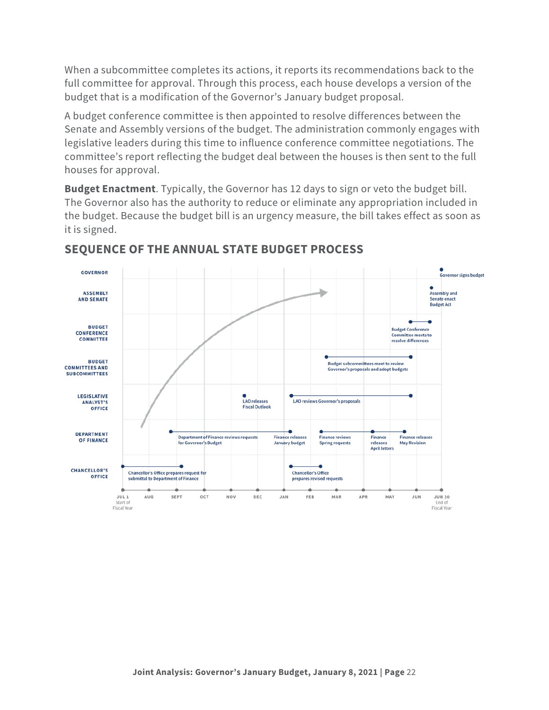When a subcommittee completes its actions, it reports its recommendations back to the full committee for approval. Through this process, each house develops a version of the budget that is a modification of the Governor's January budget proposal.

A budget conference committee is then appointed to resolve differences between the Senate and Assembly versions of the budget. The administration commonly engages with legislative leaders during this time to influence conference committee negotiations. The committee's report reflecting the budget deal between the houses is then sent to the full houses for approval.

**Budget Enactment**. Typically, the Governor has 12 days to sign or veto the budget bill. The Governor also has the authority to reduce or eliminate any appropriation included in the budget. Because the budget bill is an urgency measure, the bill takes effect as soon as it is signed.



#### **SEQUENCE OF THE ANNUAL STATE BUDGET PROCESS**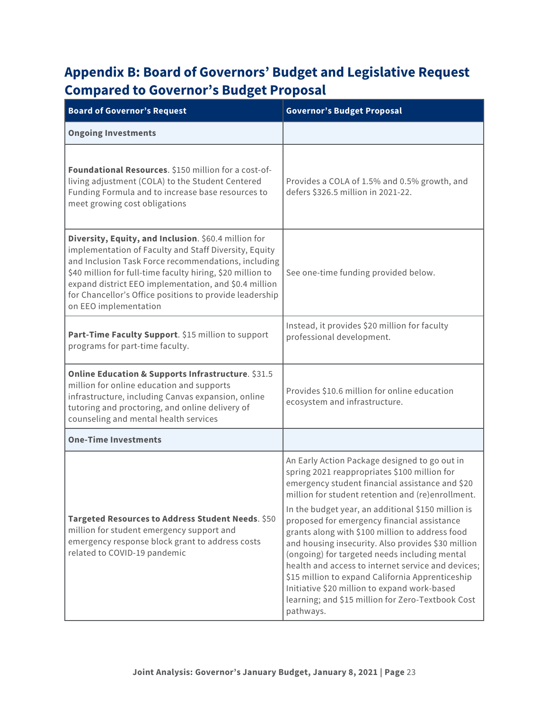# **Appendix B: Board of Governors' Budget and Legislative Request Compared to Governor's Budget Proposal**

| <b>Board of Governor's Request</b>                                                                                                                                                                                                                                                                                                                                              | <b>Governor's Budget Proposal</b>                                                                                                                                                                                                                                                                                                                                                                                                                                                                                                                                                                                                                                                                |  |  |
|---------------------------------------------------------------------------------------------------------------------------------------------------------------------------------------------------------------------------------------------------------------------------------------------------------------------------------------------------------------------------------|--------------------------------------------------------------------------------------------------------------------------------------------------------------------------------------------------------------------------------------------------------------------------------------------------------------------------------------------------------------------------------------------------------------------------------------------------------------------------------------------------------------------------------------------------------------------------------------------------------------------------------------------------------------------------------------------------|--|--|
| <b>Ongoing Investments</b>                                                                                                                                                                                                                                                                                                                                                      |                                                                                                                                                                                                                                                                                                                                                                                                                                                                                                                                                                                                                                                                                                  |  |  |
| Foundational Resources. \$150 million for a cost-of-<br>living adjustment (COLA) to the Student Centered<br>Funding Formula and to increase base resources to<br>meet growing cost obligations                                                                                                                                                                                  | Provides a COLA of 1.5% and 0.5% growth, and<br>defers \$326.5 million in 2021-22.                                                                                                                                                                                                                                                                                                                                                                                                                                                                                                                                                                                                               |  |  |
| Diversity, Equity, and Inclusion. \$60.4 million for<br>implementation of Faculty and Staff Diversity, Equity<br>and Inclusion Task Force recommendations, including<br>\$40 million for full-time faculty hiring, \$20 million to<br>expand district EEO implementation, and \$0.4 million<br>for Chancellor's Office positions to provide leadership<br>on EEO implementation | See one-time funding provided below.                                                                                                                                                                                                                                                                                                                                                                                                                                                                                                                                                                                                                                                             |  |  |
| Part-Time Faculty Support. \$15 million to support<br>programs for part-time faculty.                                                                                                                                                                                                                                                                                           | Instead, it provides \$20 million for faculty<br>professional development.                                                                                                                                                                                                                                                                                                                                                                                                                                                                                                                                                                                                                       |  |  |
| Online Education & Supports Infrastructure. \$31.5<br>million for online education and supports<br>infrastructure, including Canvas expansion, online<br>tutoring and proctoring, and online delivery of<br>counseling and mental health services                                                                                                                               | Provides \$10.6 million for online education<br>ecosystem and infrastructure.                                                                                                                                                                                                                                                                                                                                                                                                                                                                                                                                                                                                                    |  |  |
| <b>One-Time Investments</b>                                                                                                                                                                                                                                                                                                                                                     |                                                                                                                                                                                                                                                                                                                                                                                                                                                                                                                                                                                                                                                                                                  |  |  |
| Targeted Resources to Address Student Needs. \$50<br>million for student emergency support and<br>emergency response block grant to address costs<br>related to COVID-19 pandemic                                                                                                                                                                                               | An Early Action Package designed to go out in<br>spring 2021 reappropriates \$100 million for<br>emergency student financial assistance and \$20<br>million for student retention and (re)enrollment.<br>In the budget year, an additional \$150 million is<br>proposed for emergency financial assistance<br>grants along with \$100 million to address food<br>and housing insecurity. Also provides \$30 million<br>(ongoing) for targeted needs including mental<br>health and access to internet service and devices;<br>\$15 million to expand California Apprenticeship<br>Initiative \$20 million to expand work-based<br>learning; and \$15 million for Zero-Textbook Cost<br>pathways. |  |  |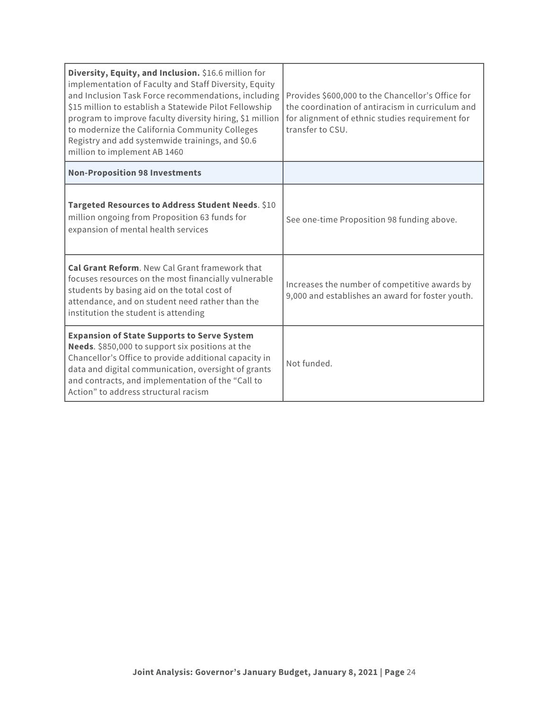| Diversity, Equity, and Inclusion. \$16.6 million for<br>implementation of Faculty and Staff Diversity, Equity<br>and Inclusion Task Force recommendations, including<br>\$15 million to establish a Statewide Pilot Fellowship<br>program to improve faculty diversity hiring, \$1 million<br>to modernize the California Community Colleges<br>Registry and add systemwide trainings, and \$0.6<br>million to implement AB 1460 | Provides \$600,000 to the Chancellor's Office for<br>the coordination of antiracism in curriculum and<br>for alignment of ethnic studies requirement for<br>transfer to CSU. |  |
|----------------------------------------------------------------------------------------------------------------------------------------------------------------------------------------------------------------------------------------------------------------------------------------------------------------------------------------------------------------------------------------------------------------------------------|------------------------------------------------------------------------------------------------------------------------------------------------------------------------------|--|
| <b>Non-Proposition 98 Investments</b>                                                                                                                                                                                                                                                                                                                                                                                            |                                                                                                                                                                              |  |
| Targeted Resources to Address Student Needs. \$10<br>million ongoing from Proposition 63 funds for<br>expansion of mental health services                                                                                                                                                                                                                                                                                        | See one-time Proposition 98 funding above.                                                                                                                                   |  |
| Cal Grant Reform. New Cal Grant framework that<br>focuses resources on the most financially vulnerable<br>students by basing aid on the total cost of<br>attendance, and on student need rather than the<br>institution the student is attending                                                                                                                                                                                 | Increases the number of competitive awards by<br>9,000 and establishes an award for foster youth.                                                                            |  |
| <b>Expansion of State Supports to Serve System</b><br>Needs. \$850,000 to support six positions at the<br>Chancellor's Office to provide additional capacity in<br>data and digital communication, oversight of grants<br>and contracts, and implementation of the "Call to<br>Action" to address structural racism                                                                                                              | Not funded.                                                                                                                                                                  |  |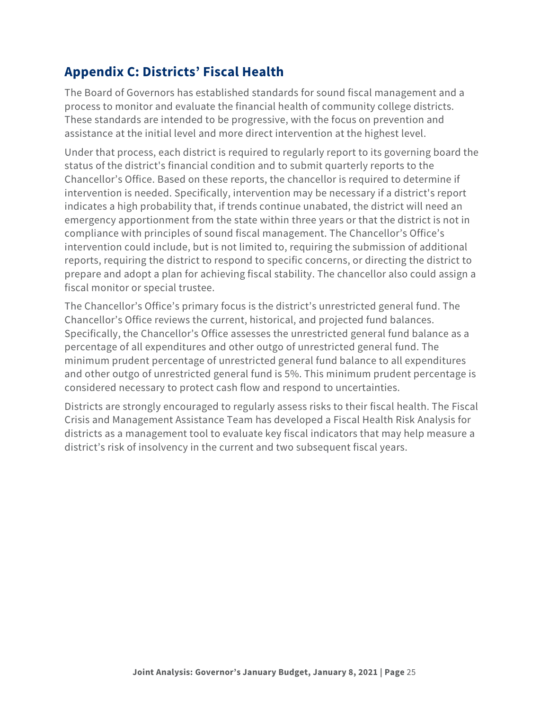# **Appendix C: Districts' Fiscal Health**

The Board of Governors has established standards for sound fiscal management and a process to monitor and evaluate the financial health of community college districts. These standards are intended to be progressive, with the focus on prevention and assistance at the initial level and more direct intervention at the highest level.

Under that process, each district is required to regularly report to its governing board the status of the district's financial condition and to submit quarterly reports to the Chancellor's Office. Based on these reports, the chancellor is required to determine if intervention is needed. Specifically, intervention may be necessary if a district's report indicates a high probability that, if trends continue unabated, the district will need an emergency apportionment from the state within three years or that the district is not in compliance with principles of sound fiscal management. The Chancellor's Office's intervention could include, but is not limited to, requiring the submission of additional reports, requiring the district to respond to specific concerns, or directing the district to prepare and adopt a plan for achieving fiscal stability. The chancellor also could assign a fiscal monitor or special trustee.

The Chancellor's Office's primary focus is the district's unrestricted general fund. The Chancellor's Office reviews the current, historical, and projected fund balances. Specifically, the Chancellor's Office assesses the unrestricted general fund balance as a percentage of all expenditures and other outgo of unrestricted general fund. The minimum prudent percentage of unrestricted general fund balance to all expenditures and other outgo of unrestricted general fund is 5%. This minimum prudent percentage is considered necessary to protect cash flow and respond to uncertainties.

Districts are strongly encouraged to regularly assess risks to their fiscal health. The Fiscal Crisis and Management Assistance Team has developed a Fiscal Health Risk Analysis for districts as a management tool to evaluate key fiscal indicators that may help measure a district's risk of insolvency in the current and two subsequent fiscal years.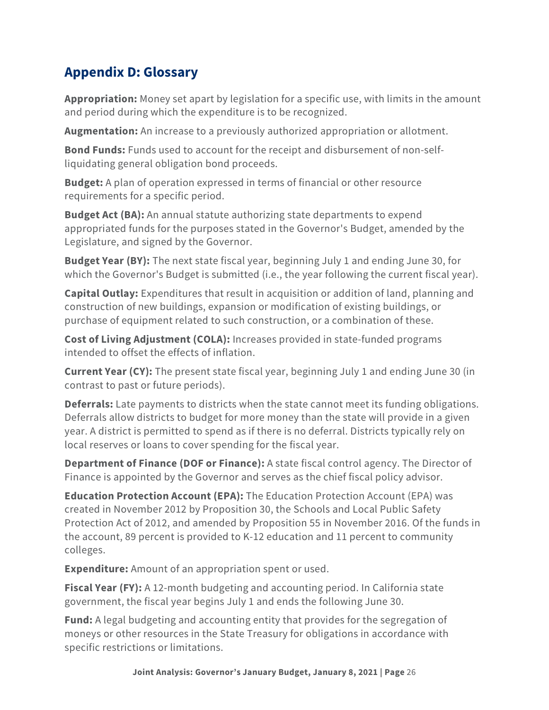# **Appendix D: Glossary**

**Appropriation:** Money set apart by legislation for a specific use, with limits in the amount and period during which the expenditure is to be recognized.

**Augmentation:** An increase to a previously authorized appropriation or allotment.

**Bond Funds:** Funds used to account for the receipt and disbursement of non-selfliquidating general obligation bond proceeds.

**Budget:** A plan of operation expressed in terms of financial or other resource requirements for a specific period.

**Budget Act (BA):** An annual statute authorizing state departments to expend appropriated funds for the purposes stated in the Governor's Budget, amended by the Legislature, and signed by the Governor.

**Budget Year (BY):** The next state fiscal year, beginning July 1 and ending June 30, for which the Governor's Budget is submitted (i.e., the year following the current fiscal year).

**Capital Outlay:** Expenditures that result in acquisition or addition of land, planning and construction of new buildings, expansion or modification of existing buildings, or purchase of equipment related to such construction, or a combination of these.

**Cost of Living Adjustment (COLA):** Increases provided in state-funded programs intended to offset the effects of inflation.

**Current Year (CY):** The present state fiscal year, beginning July 1 and ending June 30 (in contrast to past or future periods).

**Deferrals:** Late payments to districts when the state cannot meet its funding obligations. Deferrals allow districts to budget for more money than the state will provide in a given year. A district is permitted to spend as if there is no deferral. Districts typically rely on local reserves or loans to cover spending for the fiscal year.

**Department of Finance (DOF or Finance):** A state fiscal control agency. The Director of Finance is appointed by the Governor and serves as the chief fiscal policy advisor.

**Education Protection Account (EPA):** The Education Protection Account (EPA) was created in November 2012 by Proposition 30, the Schools and Local Public Safety Protection Act of 2012, and amended by Proposition 55 in November 2016. Of the funds in the account, 89 percent is provided to K-12 education and 11 percent to community colleges.

**Expenditure:** Amount of an appropriation spent or used.

**Fiscal Year (FY):** A 12-month budgeting and accounting period. In California state government, the fiscal year begins July 1 and ends the following June 30.

**Fund:** A legal budgeting and accounting entity that provides for the segregation of moneys or other resources in the State Treasury for obligations in accordance with specific restrictions or limitations.